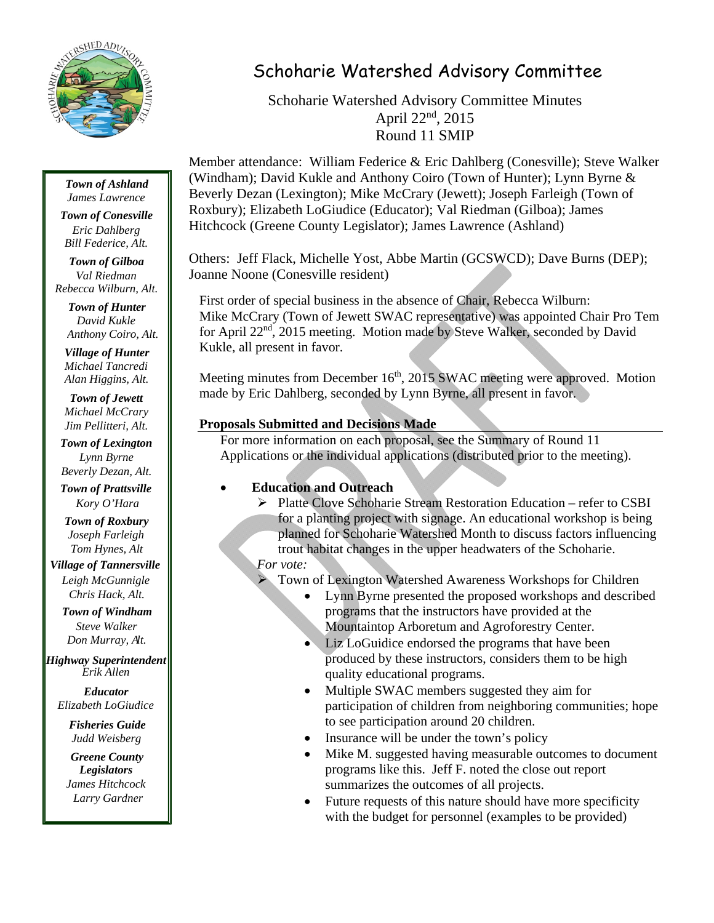

## *Town of Ashland*

*James Lawrence*

*Town of Conesville Eric Dahlberg Bill Federice, Alt.*

*Town of Gilboa Val Riedman Rebecca Wilburn, Alt.*

> *Town of Hunter David Kukle Anthony Coiro, Alt.*

*Village of Hunter Michael Tancredi Alan Higgins, Alt.*

*Town of Jewett Michael McCrary Jim Pellitteri, Alt.*

*Town of Lexington Lynn Byrne Beverly Dezan, Alt.*

*Town of Prattsville Kory O'Hara*

*Town of Roxbury Joseph Farleigh Tom Hynes, Alt*

*Village of Tannersville Leigh McGunnigle Chris Hack, Alt.*

*Town of Windham Steve Walker Don Murray, Alt.*

*Highway Superintendent Erik Allen*

*Educator Elizabeth LoGiudice*

> *Fisheries Guide Judd Weisberg*

*Greene County Legislators James Hitchcock Larry Gardner*

# Schoharie Watershed Advisory Committee

Schoharie Watershed Advisory Committee Minutes April 22nd, 2015 Round 11 SMIP

Member attendance: William Federice & Eric Dahlberg (Conesville); Steve Walker (Windham); David Kukle and Anthony Coiro (Town of Hunter); Lynn Byrne & Beverly Dezan (Lexington); Mike McCrary (Jewett); Joseph Farleigh (Town of Roxbury); Elizabeth LoGiudice (Educator); Val Riedman (Gilboa); James Hitchcock (Greene County Legislator); James Lawrence (Ashland)

Others: Jeff Flack, Michelle Yost, Abbe Martin (GCSWCD); Dave Burns (DEP); Joanne Noone (Conesville resident)

First order of special business in the absence of Chair, Rebecca Wilburn: Mike McCrary (Town of Jewett SWAC representative) was appointed Chair Pro Tem for April 22nd, 2015 meeting. Motion made by Steve Walker, seconded by David Kukle, all present in favor.

Meeting minutes from December  $16<sup>th</sup>$ , 2015 SWAC meeting were approved. Motion made by Eric Dahlberg, seconded by Lynn Byrne, all present in favor.

## **Proposals Submitted and Decisions Made**

For more information on each proposal, see the Summary of Round 11 Applications or the individual applications (distributed prior to the meeting).

## **Education and Outreach**

 Platte Clove Schoharie Stream Restoration Education – refer to CSBI for a planting project with signage. An educational workshop is being planned for Schoharie Watershed Month to discuss factors influencing trout habitat changes in the upper headwaters of the Schoharie. *For vote:* 

Town of Lexington Watershed Awareness Workshops for Children

- Lynn Byrne presented the proposed workshops and described programs that the instructors have provided at the Mountaintop Arboretum and Agroforestry Center.
- Liz LoGuidice endorsed the programs that have been produced by these instructors, considers them to be high quality educational programs.
- Multiple SWAC members suggested they aim for participation of children from neighboring communities; hope to see participation around 20 children.
- Insurance will be under the town's policy
- Mike M. suggested having measurable outcomes to document programs like this. Jeff F. noted the close out report summarizes the outcomes of all projects.
- Future requests of this nature should have more specificity with the budget for personnel (examples to be provided)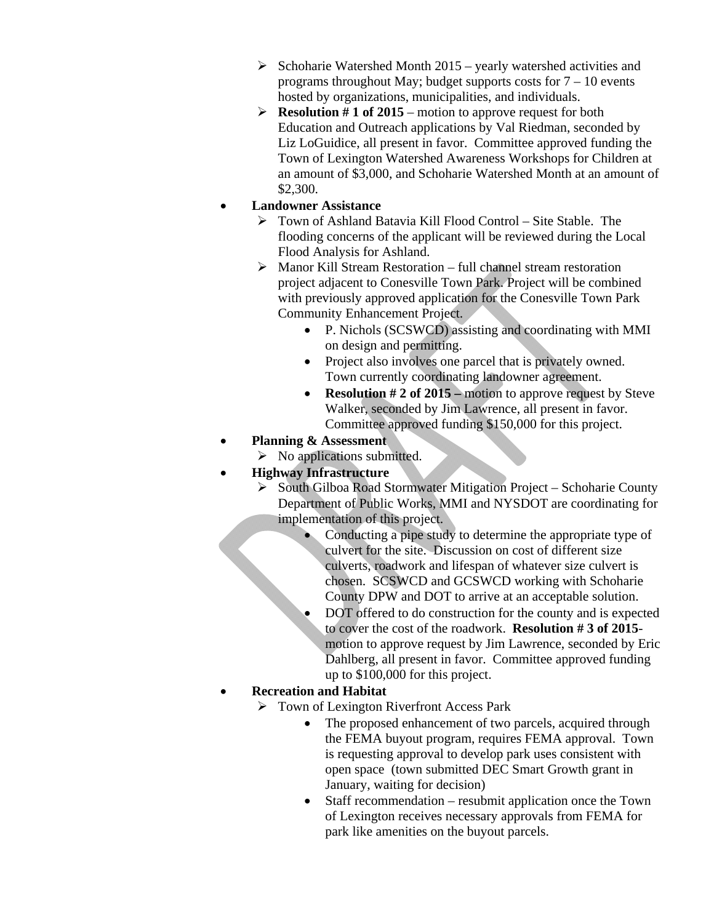- $\triangleright$  Schoharie Watershed Month 2015 yearly watershed activities and programs throughout May; budget supports costs for  $7 - 10$  events hosted by organizations, municipalities, and individuals.
- **Resolution # 1 of 2015** motion to approve request for both Education and Outreach applications by Val Riedman, seconded by Liz LoGuidice, all present in favor. Committee approved funding the Town of Lexington Watershed Awareness Workshops for Children at an amount of \$3,000, and Schoharie Watershed Month at an amount of \$2,300.

#### **Landowner Assistance**

- Town of Ashland Batavia Kill Flood Control Site Stable. The flooding concerns of the applicant will be reviewed during the Local Flood Analysis for Ashland.
- $\triangleright$  Manor Kill Stream Restoration full channel stream restoration project adjacent to Conesville Town Park. Project will be combined with previously approved application for the Conesville Town Park Community Enhancement Project.
	- P. Nichols (SCSWCD) assisting and coordinating with MMI on design and permitting.
	- Project also involves one parcel that is privately owned. Town currently coordinating landowner agreement.
	- **Resolution # 2 of 2015** motion to approve request by Steve Walker, seconded by Jim Lawrence, all present in favor. Committee approved funding \$150,000 for this project.
- **Planning & Assessment** 
	- $\triangleright$  No applications submitted.
- **Highway Infrastructure** 
	- $\triangleright$  South Gilboa Road Stormwater Mitigation Project Schoharie County Department of Public Works, MMI and NYSDOT are coordinating for implementation of this project.
		- Conducting a pipe study to determine the appropriate type of culvert for the site. Discussion on cost of different size culverts, roadwork and lifespan of whatever size culvert is chosen. SCSWCD and GCSWCD working with Schoharie County DPW and DOT to arrive at an acceptable solution.
		- DOT offered to do construction for the county and is expected to cover the cost of the roadwork. **Resolution # 3 of 2015** motion to approve request by Jim Lawrence, seconded by Eric Dahlberg, all present in favor. Committee approved funding up to \$100,000 for this project.

### **Recreation and Habitat**

- $\triangleright$  Town of Lexington Riverfront Access Park
	- The proposed enhancement of two parcels, acquired through the FEMA buyout program, requires FEMA approval. Town is requesting approval to develop park uses consistent with open space (town submitted DEC Smart Growth grant in January, waiting for decision)
	- Staff recommendation resubmit application once the Town of Lexington receives necessary approvals from FEMA for park like amenities on the buyout parcels.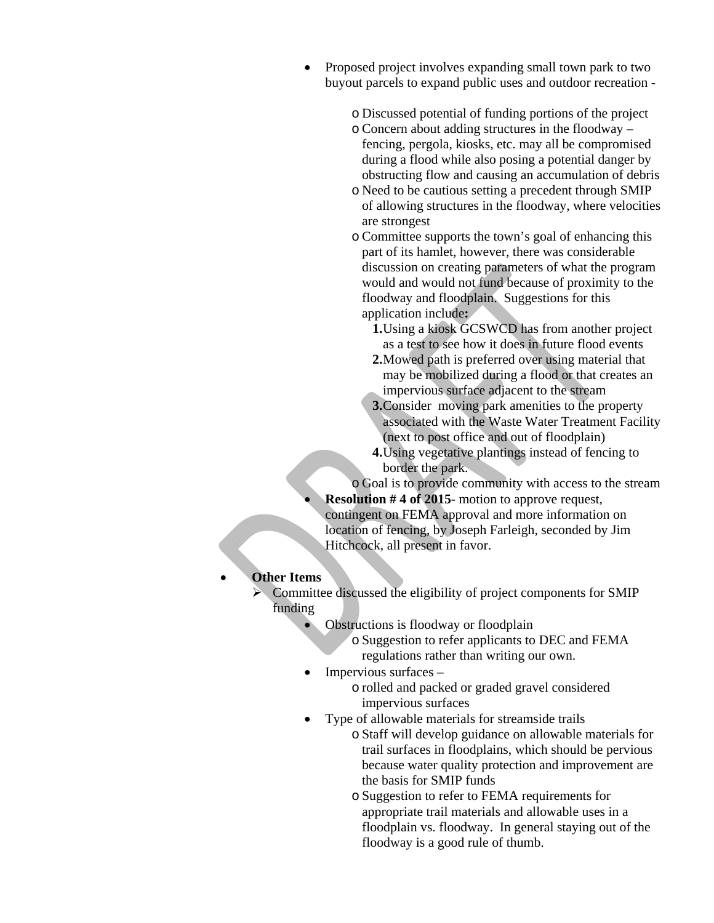- Proposed project involves expanding small town park to two buyout parcels to expand public uses and outdoor recreation
	- o Discussed potential of funding portions of the project
	- o Concern about adding structures in the floodway fencing, pergola, kiosks, etc. may all be compromised during a flood while also posing a potential danger by obstructing flow and causing an accumulation of debris
	- o Need to be cautious setting a precedent through SMIP of allowing structures in the floodway, where velocities are strongest
	- o Committee supports the town's goal of enhancing this part of its hamlet, however, there was considerable discussion on creating parameters of what the program would and would not fund because of proximity to the floodway and floodplain. Suggestions for this application include**:** 
		- **1.**Using a kiosk GCSWCD has from another project as a test to see how it does in future flood events
		- **2.**Mowed path is preferred over using material that may be mobilized during a flood or that creates an impervious surface adjacent to the stream
		- **3.**Consider moving park amenities to the property associated with the Waste Water Treatment Facility (next to post office and out of floodplain)
		- **4.**Using vegetative plantings instead of fencing to border the park.
	- o Goal is to provide community with access to the stream
	- **Resolution # 4 of 2015** motion to approve request, contingent on FEMA approval and more information on location of fencing, by Joseph Farleigh, seconded by Jim Hitchcock, all present in favor.

### **Other Items**

- $\triangleright$  Committee discussed the eligibility of project components for SMIP funding
	- Obstructions is floodway or floodplain
		- o Suggestion to refer applicants to DEC and FEMA regulations rather than writing our own.
	- Impervious surfaces
		- o rolled and packed or graded gravel considered impervious surfaces
	- Type of allowable materials for streamside trails
		- o Staff will develop guidance on allowable materials for trail surfaces in floodplains, which should be pervious because water quality protection and improvement are the basis for SMIP funds
		- o Suggestion to refer to FEMA requirements for appropriate trail materials and allowable uses in a floodplain vs. floodway. In general staying out of the floodway is a good rule of thumb.